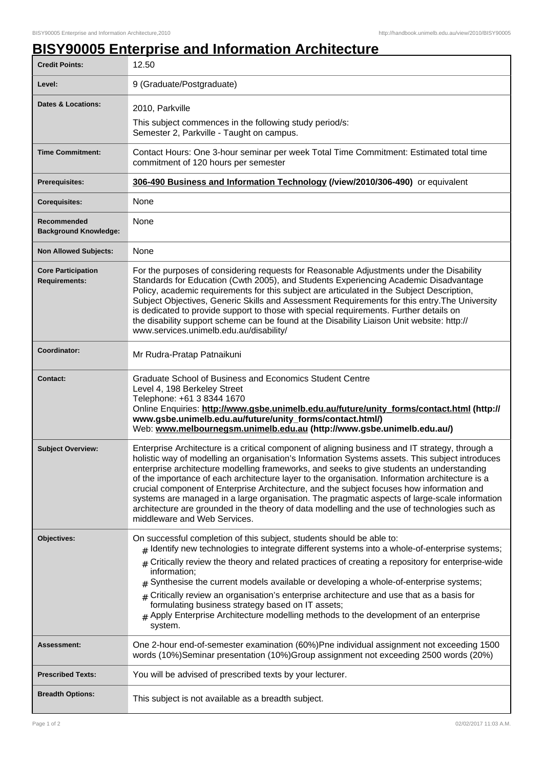## **BISY90005 Enterprise and Information Architecture**

| <b>Credit Points:</b>                             | 12.50                                                                                                                                                                                                                                                                                                                                                                                                                                                                                                                                                                                                                                                                                                                             |
|---------------------------------------------------|-----------------------------------------------------------------------------------------------------------------------------------------------------------------------------------------------------------------------------------------------------------------------------------------------------------------------------------------------------------------------------------------------------------------------------------------------------------------------------------------------------------------------------------------------------------------------------------------------------------------------------------------------------------------------------------------------------------------------------------|
| Level:                                            | 9 (Graduate/Postgraduate)                                                                                                                                                                                                                                                                                                                                                                                                                                                                                                                                                                                                                                                                                                         |
| Dates & Locations:                                | 2010, Parkville<br>This subject commences in the following study period/s:                                                                                                                                                                                                                                                                                                                                                                                                                                                                                                                                                                                                                                                        |
|                                                   | Semester 2, Parkville - Taught on campus.                                                                                                                                                                                                                                                                                                                                                                                                                                                                                                                                                                                                                                                                                         |
| <b>Time Commitment:</b>                           | Contact Hours: One 3-hour seminar per week Total Time Commitment: Estimated total time<br>commitment of 120 hours per semester                                                                                                                                                                                                                                                                                                                                                                                                                                                                                                                                                                                                    |
| <b>Prerequisites:</b>                             | 306-490 Business and Information Technology (/view/2010/306-490) or equivalent                                                                                                                                                                                                                                                                                                                                                                                                                                                                                                                                                                                                                                                    |
| <b>Corequisites:</b>                              | None                                                                                                                                                                                                                                                                                                                                                                                                                                                                                                                                                                                                                                                                                                                              |
| Recommended<br><b>Background Knowledge:</b>       | None                                                                                                                                                                                                                                                                                                                                                                                                                                                                                                                                                                                                                                                                                                                              |
| <b>Non Allowed Subjects:</b>                      | None                                                                                                                                                                                                                                                                                                                                                                                                                                                                                                                                                                                                                                                                                                                              |
| <b>Core Participation</b><br><b>Requirements:</b> | For the purposes of considering requests for Reasonable Adjustments under the Disability<br>Standards for Education (Cwth 2005), and Students Experiencing Academic Disadvantage<br>Policy, academic requirements for this subject are articulated in the Subject Description,<br>Subject Objectives, Generic Skills and Assessment Requirements for this entry. The University<br>is dedicated to provide support to those with special requirements. Further details on<br>the disability support scheme can be found at the Disability Liaison Unit website: http://<br>www.services.unimelb.edu.au/disability/                                                                                                                |
| Coordinator:                                      | Mr Rudra-Pratap Patnaikuni                                                                                                                                                                                                                                                                                                                                                                                                                                                                                                                                                                                                                                                                                                        |
| <b>Contact:</b>                                   | Graduate School of Business and Economics Student Centre<br>Level 4, 198 Berkeley Street<br>Telephone: +61 3 8344 1670<br>Online Enquiries: http://www.gsbe.unimelb.edu.au/future/unity_forms/contact.html (http://<br>www.gsbe.unimelb.edu.au/future/unity_forms/contact.html/)<br>Web: www.melbournegsm.unimelb.edu.au (http://www.gsbe.unimelb.edu.au/)                                                                                                                                                                                                                                                                                                                                                                        |
| <b>Subject Overview:</b>                          | Enterprise Architecture is a critical component of aligning business and IT strategy, through a<br>holistic way of modelling an organisation's Information Systems assets. This subject introduces<br>enterprise architecture modelling frameworks, and seeks to give students an understanding<br>of the importance of each architecture layer to the organisation. Information architecture is a<br>crucial component of Enterprise Architecture, and the subject focuses how information and<br>systems are managed in a large organisation. The pragmatic aspects of large-scale information<br>architecture are grounded in the theory of data modelling and the use of technologies such as<br>middleware and Web Services. |
| Objectives:                                       | On successful completion of this subject, students should be able to:<br>$#$ Identify new technologies to integrate different systems into a whole-of-enterprise systems;<br>Critically review the theory and related practices of creating a repository for enterprise-wide<br>information;<br>Synthesise the current models available or developing a whole-of-enterprise systems;<br>#<br>Critically review an organisation's enterprise architecture and use that as a basis for<br>$\pm$<br>formulating business strategy based on IT assets;<br>$#$ Apply Enterprise Architecture modelling methods to the development of an enterprise<br>system.                                                                          |
| Assessment:                                       | One 2-hour end-of-semester examination (60%)Pne individual assignment not exceeding 1500<br>words (10%)Seminar presentation (10%)Group assignment not exceeding 2500 words (20%)                                                                                                                                                                                                                                                                                                                                                                                                                                                                                                                                                  |
| <b>Prescribed Texts:</b>                          | You will be advised of prescribed texts by your lecturer.                                                                                                                                                                                                                                                                                                                                                                                                                                                                                                                                                                                                                                                                         |
| <b>Breadth Options:</b>                           | This subject is not available as a breadth subject.                                                                                                                                                                                                                                                                                                                                                                                                                                                                                                                                                                                                                                                                               |